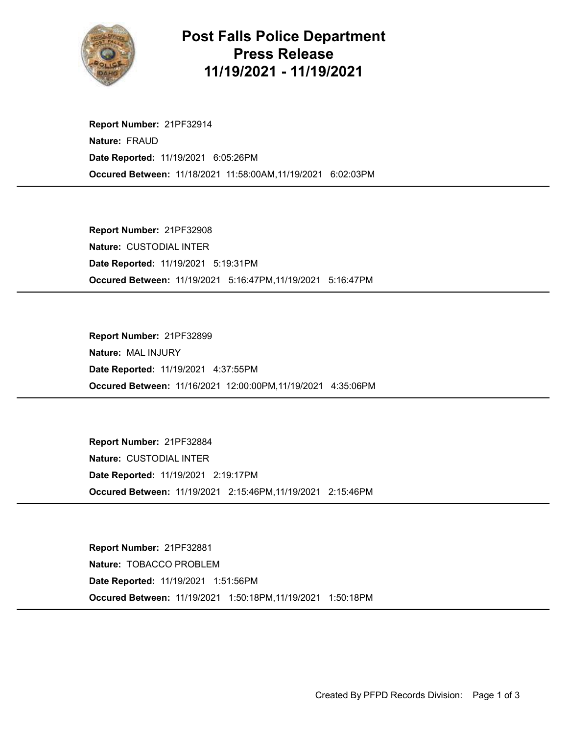

## Post Falls Police Department Press Release 11/19/2021 - 11/19/2021

Occured Between: 11/18/2021 11:58:00AM,11/19/2021 6:02:03PM Report Number: 21PF32914 Nature: FRAUD Date Reported: 11/19/2021 6:05:26PM

Occured Between: 11/19/2021 5:16:47PM,11/19/2021 5:16:47PM Report Number: 21PF32908 Nature: CUSTODIAL INTER Date Reported: 11/19/2021 5:19:31PM

Occured Between: 11/16/2021 12:00:00PM,11/19/2021 4:35:06PM Report Number: 21PF32899 Nature: MAL INJURY Date Reported: 11/19/2021 4:37:55PM

Occured Between: 11/19/2021 2:15:46PM,11/19/2021 2:15:46PM Report Number: 21PF32884 Nature: CUSTODIAL INTER Date Reported: 11/19/2021 2:19:17PM

Occured Between: 11/19/2021 1:50:18PM,11/19/2021 1:50:18PM Report Number: 21PF32881 Nature: TOBACCO PROBLEM Date Reported: 11/19/2021 1:51:56PM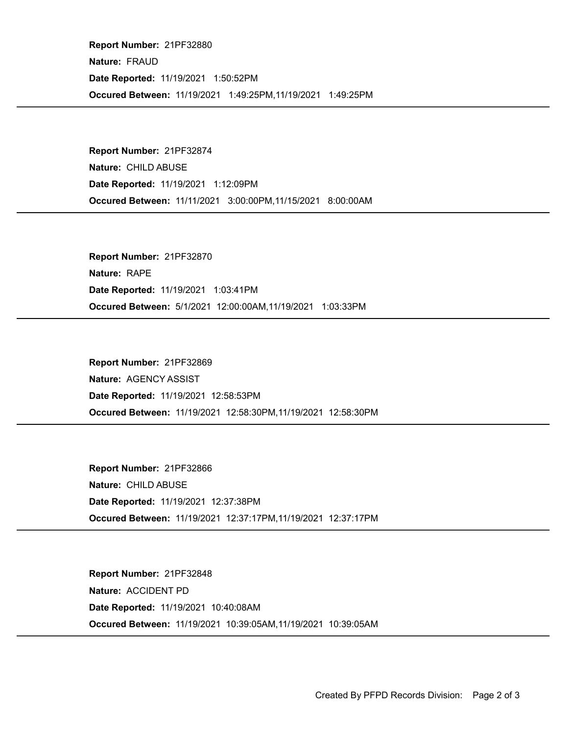Occured Between: 11/19/2021 1:49:25PM,11/19/2021 1:49:25PM Report Number: 21PF32880 Nature: FRAUD Date Reported: 11/19/2021 1:50:52PM

Occured Between: 11/11/2021 3:00:00PM,11/15/2021 8:00:00AM Report Number: 21PF32874 Nature: CHILD ABUSE Date Reported: 11/19/2021 1:12:09PM

Occured Between: 5/1/2021 12:00:00AM,11/19/2021 1:03:33PM Report Number: 21PF32870 Nature: RAPE Date Reported: 11/19/2021 1:03:41PM

Occured Between: 11/19/2021 12:58:30PM,11/19/2021 12:58:30PM Report Number: 21PF32869 Nature: AGENCY ASSIST Date Reported: 11/19/2021 12:58:53PM

Occured Between: 11/19/2021 12:37:17PM,11/19/2021 12:37:17PM Report Number: 21PF32866 Nature: CHILD ABUSE Date Reported: 11/19/2021 12:37:38PM

Occured Between: 11/19/2021 10:39:05AM,11/19/2021 10:39:05AM Report Number: 21PF32848 Nature: ACCIDENT PD Date Reported: 11/19/2021 10:40:08AM